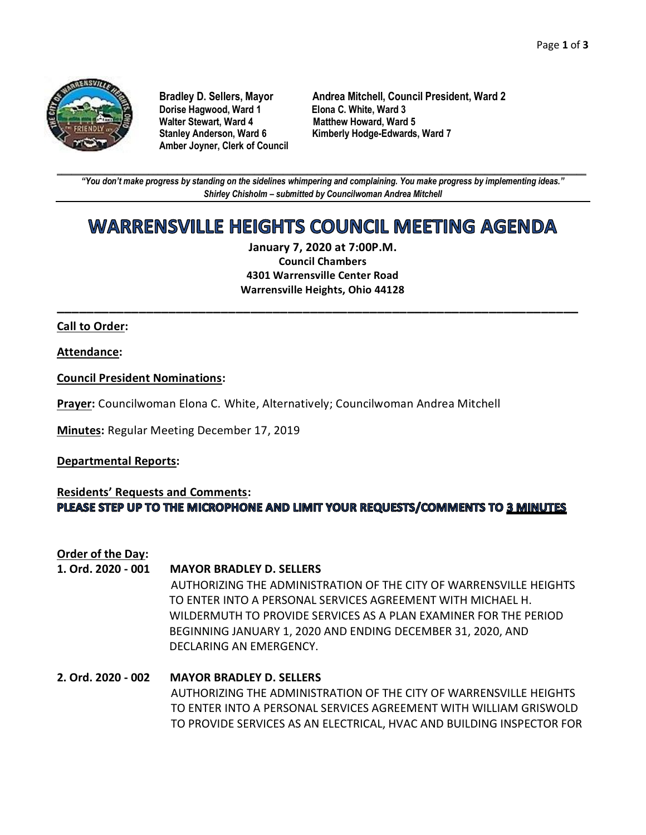

**Dorise Hagwood, Ward 1 Elona C. White, Ward 3 Amber Joyner, Clerk of Council**

**Bradley D. Sellers, Mayor Andrea Mitchell, Council President, Ward 2 Matthew Howard, Ward 5 Stanley Anderson, Ward 6 Kimberly Hodge-Edwards, Ward 7**

**\_\_\_\_\_\_\_\_\_\_\_\_\_\_\_\_\_\_\_\_\_\_\_\_\_\_\_\_\_\_\_\_\_\_\_\_\_\_\_\_\_\_\_\_\_\_\_\_\_\_\_\_\_\_\_\_\_\_\_\_\_\_\_\_\_\_\_\_\_\_\_\_\_\_\_\_\_\_\_\_\_\_\_\_\_\_\_\_\_\_\_\_\_\_\_\_\_\_\_\_\_\_\_\_\_\_\_\_\_\_** *"You don't make progress by standing on the sidelines whimpering and complaining. You make progress by implementing ideas." Shirley Chisholm – submitted by Councilwoman Andrea Mitchell*

# WARRENSVILLE HEIGHTS COUNCIL MEETING AGENDA

**January 7, 2020 at 7:00P.M. Council Chambers 4301 Warrensville Center Road Warrensville Heights, Ohio 44128**

**\_\_\_\_\_\_\_\_\_\_\_\_\_\_\_\_\_\_\_\_\_\_\_\_\_\_\_\_\_\_\_\_\_\_\_\_\_\_\_\_\_\_\_\_\_\_\_\_\_\_\_\_\_\_\_\_\_\_\_\_\_\_\_\_\_\_\_\_\_\_**

### **Call to Order:**

**Attendance:**

**Council President Nominations:**

**Prayer:** Councilwoman Elona C. White, Alternatively; Councilwoman Andrea Mitchell

**Minutes:** Regular Meeting December 17, 2019

#### **Departmental Reports:**

# **Residents' Requests and Comments:** PLEASE STEP UP TO THE MICROPHONE AND LIMIT YOUR REQUESTS/COMMENTS TO 3 MINUTES

**Order of the Day:**

#### **1. Ord. 2020 - 001 MAYOR BRADLEY D. SELLERS**

AUTHORIZING THE ADMINISTRATION OF THE CITY OF WARRENSVILLE HEIGHTS TO ENTER INTO A PERSONAL SERVICES AGREEMENT WITH MICHAEL H. WILDERMUTH TO PROVIDE SERVICES AS A PLAN EXAMINER FOR THE PERIOD BEGINNING JANUARY 1, 2020 AND ENDING DECEMBER 31, 2020, AND DECLARING AN EMERGENCY.

# **2. Ord. 2020 - 002 MAYOR BRADLEY D. SELLERS** AUTHORIZING THE ADMINISTRATION OF THE CITY OF WARRENSVILLE HEIGHTS TO ENTER INTO A PERSONAL SERVICES AGREEMENT WITH WILLIAM GRISWOLD TO PROVIDE SERVICES AS AN ELECTRICAL, HVAC AND BUILDING INSPECTOR FOR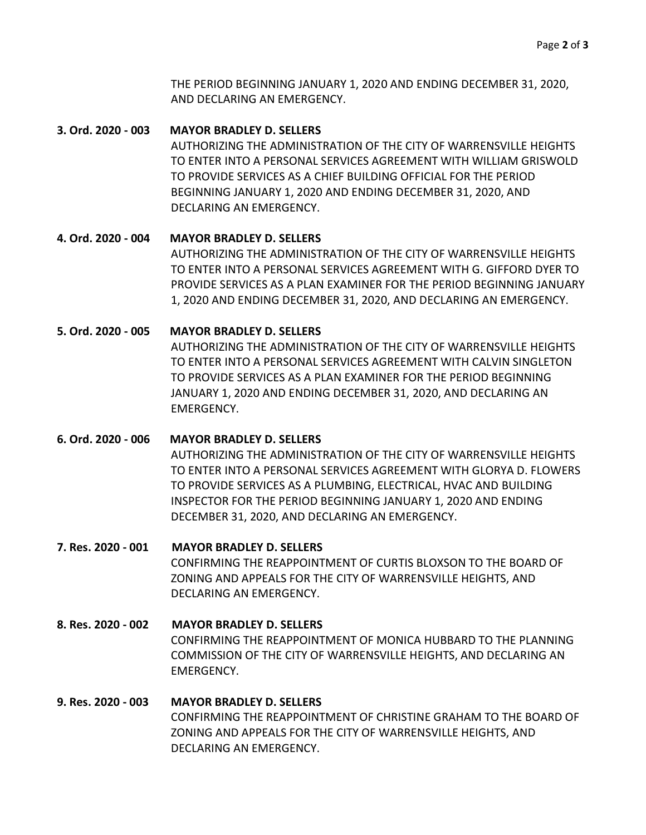THE PERIOD BEGINNING JANUARY 1, 2020 AND ENDING DECEMBER 31, 2020, AND DECLARING AN EMERGENCY.

### **3. Ord. 2020 - 003 MAYOR BRADLEY D. SELLERS**

AUTHORIZING THE ADMINISTRATION OF THE CITY OF WARRENSVILLE HEIGHTS TO ENTER INTO A PERSONAL SERVICES AGREEMENT WITH WILLIAM GRISWOLD TO PROVIDE SERVICES AS A CHIEF BUILDING OFFICIAL FOR THE PERIOD BEGINNING JANUARY 1, 2020 AND ENDING DECEMBER 31, 2020, AND DECLARING AN EMERGENCY.

# **4. Ord. 2020 - 004 MAYOR BRADLEY D. SELLERS**

AUTHORIZING THE ADMINISTRATION OF THE CITY OF WARRENSVILLE HEIGHTS TO ENTER INTO A PERSONAL SERVICES AGREEMENT WITH G. GIFFORD DYER TO PROVIDE SERVICES AS A PLAN EXAMINER FOR THE PERIOD BEGINNING JANUARY 1, 2020 AND ENDING DECEMBER 31, 2020, AND DECLARING AN EMERGENCY.

### **5. Ord. 2020 - 005 MAYOR BRADLEY D. SELLERS**

AUTHORIZING THE ADMINISTRATION OF THE CITY OF WARRENSVILLE HEIGHTS TO ENTER INTO A PERSONAL SERVICES AGREEMENT WITH CALVIN SINGLETON TO PROVIDE SERVICES AS A PLAN EXAMINER FOR THE PERIOD BEGINNING JANUARY 1, 2020 AND ENDING DECEMBER 31, 2020, AND DECLARING AN EMERGENCY.

# **6. Ord. 2020 - 006 MAYOR BRADLEY D. SELLERS**

AUTHORIZING THE ADMINISTRATION OF THE CITY OF WARRENSVILLE HEIGHTS TO ENTER INTO A PERSONAL SERVICES AGREEMENT WITH GLORYA D. FLOWERS TO PROVIDE SERVICES AS A PLUMBING, ELECTRICAL, HVAC AND BUILDING INSPECTOR FOR THE PERIOD BEGINNING JANUARY 1, 2020 AND ENDING DECEMBER 31, 2020, AND DECLARING AN EMERGENCY.

# **7. Res. 2020 - 001 MAYOR BRADLEY D. SELLERS**

CONFIRMING THE REAPPOINTMENT OF CURTIS BLOXSON TO THE BOARD OF ZONING AND APPEALS FOR THE CITY OF WARRENSVILLE HEIGHTS, AND DECLARING AN EMERGENCY.

# **8. Res. 2020 - 002 MAYOR BRADLEY D. SELLERS** CONFIRMING THE REAPPOINTMENT OF MONICA HUBBARD TO THE PLANNING COMMISSION OF THE CITY OF WARRENSVILLE HEIGHTS, AND DECLARING AN EMERGENCY.

# **9. Res. 2020 - 003 MAYOR BRADLEY D. SELLERS** CONFIRMING THE REAPPOINTMENT OF CHRISTINE GRAHAM TO THE BOARD OF ZONING AND APPEALS FOR THE CITY OF WARRENSVILLE HEIGHTS, AND DECLARING AN EMERGENCY.